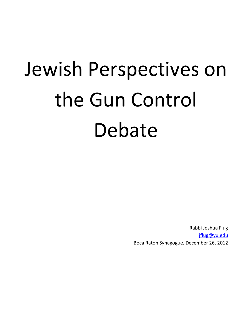# Jewish Perspectives on the Gun Control Debate

Rabbi Joshua Flug jflug@yu.edu Boca Raton Synagogue, December 26, 2012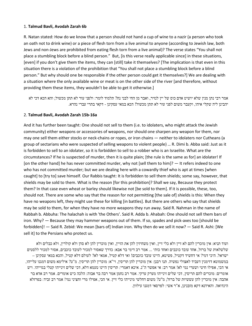#### 1. Talmud Bavli, Avodah Zarah 6b

R. Natan stated: How do we know that a person should not hand a cup of wine to a nazir (a person who took an oath not to drink wine) or a piece of flesh torn from a live animal to anyone (according to Jewish law, both Jews and non-Jews are prohibited from eating flesh torn from a live animal)? The verse states "You shall not place a stumbling block before a blind person." But, [is this verse really applicable since] in these situations, [even] if you don't give them the items, they can [still] take it themselves? [The implication is that even in this situation there is a violation of the prohibition that "You shall not place a stumbling block before a blind person." But why should one be responsible if the other person could get it themselves?] We are dealing with a situation where the only available wine or meat is on the other side of the river [and therefore, without providing them these items, they wouldn't be able to get it otherwise.]

אמר רבי נתן מנין שלא יושיט אדם כוס של יין לנזיר, ואבר מן החי לבני נח? תלמוד לומר: ולפני עור לא תתן מכשול; והא הכא דכי לא יהבינן ליה שקלי איהו, וקעבר משום לפני עור לא תתן מכשול! הכא במאי עסקינן - דקאי בתרי עברי נהרא .

#### 2. Talmud Bavli, Avodah Zarah 15b-16a

And it has further been taught: One should not sell to them (i.e. to idolaters, who might attack the Jewish community) either weapons or accessories of weapons, nor should one sharpen any weapon for them, nor may one sell them either stocks or neck-chains or ropes, or iron chains — neither to idolaters nor Cutheans (a group of sectarians who were suspected of selling weapons to violent people) … R. Dimi b. Abba said: Just as it is forbidden to sell to an idolater, so it is forbidden to sell to a robber who is an Israelite. What are the circumstances? If he is suspected of murder, then it is quite plain; [the rule is the same as for] an idolater! If [on the other hand] he has never committed murder, why not [sell them to him]? — It refers indeed to one who has not committed murder; but we are dealing here with a cowardly thief who is apt at times [when caught] to [try to] save himself. Our Rabbis taught: It is forbidden to sell them shields; some say, however, that shields may be sold to them. What is the reason [for this prohibition]? Shall we say, Because they protect them? In that case even wheat or barley should likewise not [be sold to them]. If it is possible, these, too, should not. There are some who say that the reason for not permitting [the sale of] shields is this: When they have no weapons left, they might use these for killing [in battles]. But there are others who say that shields may be sold to them, for when they have no more weapons they run away. Said R. Nahman in the name of Rabbah b. Abbuha: The halachah is with 'the Others'. Said R. Adda b. Ahabah: One should not sell them bars of iron. Why? — Because they may hammer weapons out of them. If so, spades and pick-axes too [should be forbidden]! — Said R. Zebid: We mean [bars of] Indian iron. Why then do we sell it now? — Said R. Ashi: [We sell it] to the Persians who protect us.

ועוד תניא: אין מוכרין להם לא זיין ולא כלי זיין, ואין משחיזין להן את הזיין, ואין מוכרין להן לא סדן ולא קולרין, ולא כבלים ולא שלשלאות של ברזל, אחד עובד כוכבים ואחד כותי ... אמר רב דימי בר אבא: כדרך שאסור למכור לעובד כוכבים, אסור למכור ללסטים ישראל. היכי דמי? אי דחשיד דקטיל, פשיטא, היינו עובד כוכבים! ואי דלא קטיל, אמאי לא? לעולם דלא קטיל, והכא במאי עסקינן – במשמוטא דזימנין דעביד לאצולי נפשיה. תנו רבנן: אין מוכרין להן תריסין, וי"א: מוכרין להן תריסין. מ"ט? אילימא משום דמגנו עלייהו, אי הכי, אפילו חיטי ושערי נמי לא! אמר רב: אי אפשר ה"נ. איכא דאמרי: תריסין היינו טעמא דלא, דכי שלים זינייהו קטלי בגוייהו. ויש אומרים: מוכרים להם תריסין, דכי שלים זינייהו מערק ערקי. אמר רב נחמן אמר רבה בר אבוה: הלכה כיש אומרים. אמר רב אדא בר אהבה: אין מוכרין להן עששיות של ברזל; מ"ט? משום דחלשי מינייהו כלי זיין. אי הכי, אפילו מרי וחציני נמי! אמר רב זביד: בפרזלא הינדואה. והאידנא דקא מזבנינן, א"ר אשי: לפרסאי דמגנו עילוון .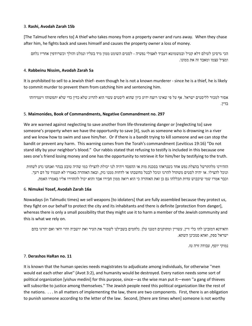#### 3. Rashi, Avodah Zarah 15b

[The Talmud here refers to] A thief who takes money from a property owner and runs away. When they chase after him, he fights back and saves himself and causes the property owner a loss of money.

הכי גרסינן לעולם דלא קטיל ובמשמוטא דעביד לאצולי נפשיה - לסטים השומט ממון מיד בעליו ונמלט והולך וכשרודפין אחריו נלחם ומציל עצמו ומאבד זה את ממונו .

## 4. Rabbeinu Nissim, Avodah Zarah 5a

It is prohibited to sell to a Jewish thief- even though he is not a known murderer - since he is a thief, he is likely to commit murder to prevent them from catching him and sentencing him.

אסור למכור לליסטים ישראל. אף על פי שאינו רוצח ידוע כיון שהוא ליסטים עשוי הוא להרוג שלא כדין כדי שלא יתפשוהו ויעמידוהו בדין .

# 5. Maimonides, Book of Commandments, Negative Commandment no. 297

We are warned against neglecting to save another from life-threatening danger or [neglecting to] save someone's property when we have the opportunity to save [it], such as someone who is drowning in a river and we know how to swim and save him/her. Or if there is a bandit trying to kill someone and we can stop the bandit or prevent any harm. This warning comes from the Torah's commandment (Leviticus 19:16) "Do not stand idly by your neighbor's blood." Our rabbis stated that refusing to testify is included in this because one sees one's friend losing money and one has the opportunity to retrieve it for him/her by testifying to the truth.

הזהירוו מלהתרשל רהצלת נפש אחד כשוראהו בסכות מות או ההפסד ויהיה לוו יכולת להצילו כמו שהיה טובע בנהר ואנחנו נדע לשחות ונוכל להצילו. או יהיה לסטים משתדל להרגו ונוכל לבטל מחשבתו או לדחות ממנו נזק, ובאה האזהרה באמרו לא תעמוד על דם רעך. וכבר אמרו שמי שיכבוש עדות תכללהו גם כן זאת האזהרה כי הוא רואה ממון חבירו אבד והוא יכול להחזירו אליו באמרו האמת .

## 6. Nimukei Yosef, Avodah Zarah 16a

Nowadays (in Talmudic times) we sell weapons [to idolaters] that are fully assembled because they protect us, they fight on our behalf to protect the city and its inhabitants and there is definite [protection from danger], whereas there is only a small possibility that they might use it to harm a member of the Jewish community and this is what we rely on.

והאידנא דמזבינן להו כלי זיין, עשויין ומתוקנים דמגנו עלן. נלחמים בשבילנו לשמור את העיר ואת יושביה והוי ודאי ואם יהרגו בהם ישראל ספק, ואהא סמכינן השתא .

נמוקי יוסף, עבודה זרה טז .

# 7. Derashos HaRan no. 11

It is known that the human species needs magistrates to adjudicate among individuals, for otherwise ''men would eat each other alive'' (Avot 3:2), and humanity would be destroyed. Every nation needs some sort of political organization [yishuv medini] for this purpose, since—as the wise man put it—even ''a gang of thieves will subscribe to justice among themselves.'' The Jewish people need this political organization like the rest of the nations. . . . In all matters of implementing the law, there are two components. First, there is an obligation to punish someone according to the letter of the law. Second, [there are times when] someone is not worthy